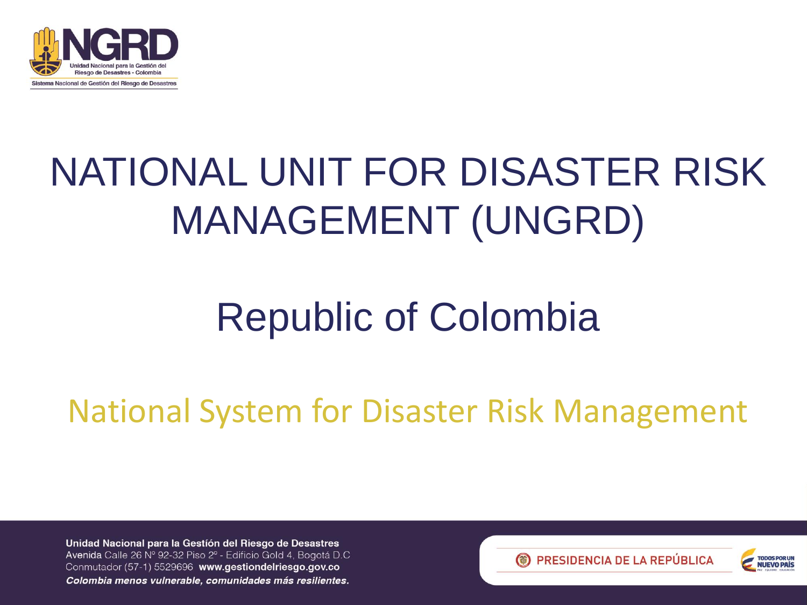

### NATIONAL UNIT FOR DISASTER RISK MANAGEMENT (UNGRD)

### Republic of Colombia

National System for Disaster Risk Management



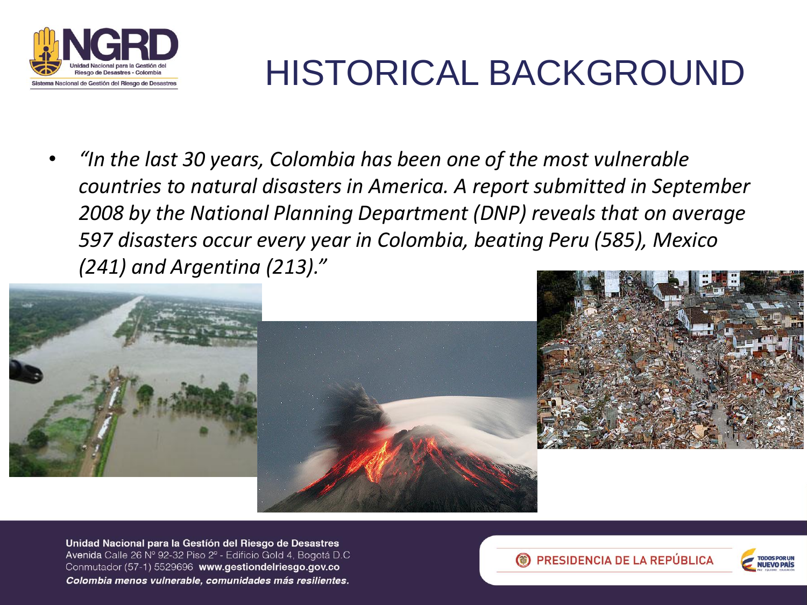

### HISTORICAL BACKGROUND

• *"In the last 30 years, Colombia has been one of the most vulnerable countries to natural disasters in America. A report submitted in September 2008 by the National Planning Department (DNP) reveals that on average 597 disasters occur every year in Colombia, beating Peru (585), Mexico (241) and Argentina (213)."*





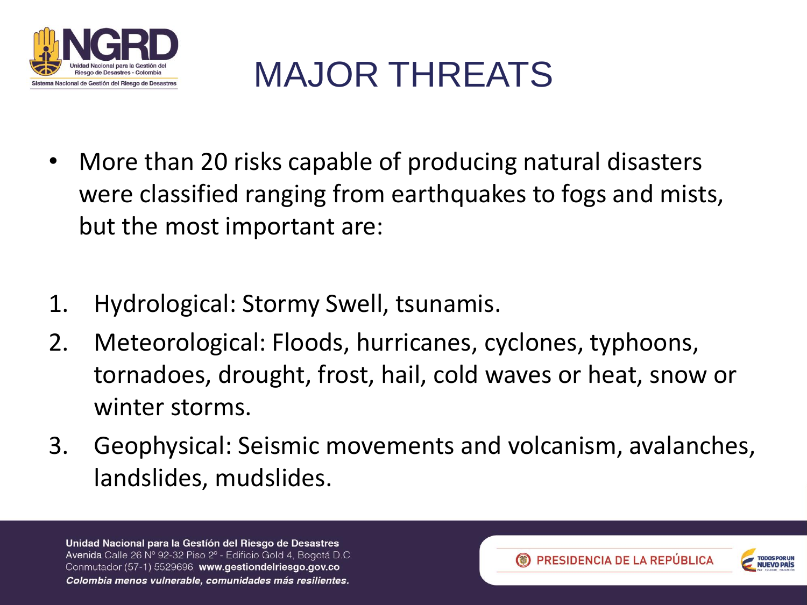

### MAJOR THREATS

- More than 20 risks capable of producing natural disasters were classified ranging from earthquakes to fogs and mists, but the most important are:
- 1. Hydrological: Stormy Swell, tsunamis.
- 2. Meteorological: Floods, hurricanes, cyclones, typhoons, tornadoes, drought, frost, hail, cold waves or heat, snow or winter storms.
- 3. Geophysical: Seismic movements and volcanism, avalanches, landslides, mudslides.

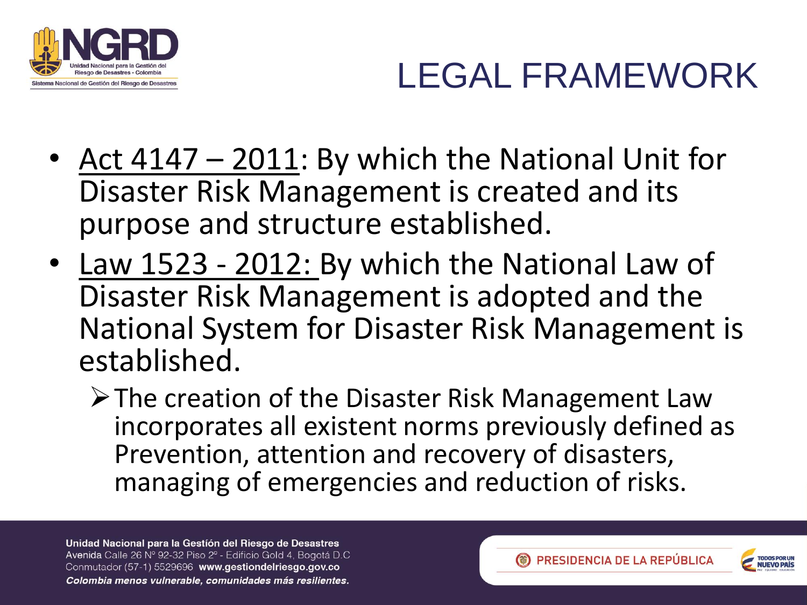

### LEGAL FRAMEWORK

- Act 4147 2011: By which the National Unit for Disaster Risk Management is created and its purpose and structure established.
- Law 1523 2012: By which the National Law of Disaster Risk Management is adopted and the National System for Disaster Risk Management is established.
	- **Example 2 Filter Proper Finds** Finds Prince Cawa Finds Creation of the Disaster Risk Management Law incorporates all existent norms previously defined as Prevention, attention and recovery of disasters, managing of emergencies and reduction of risks.



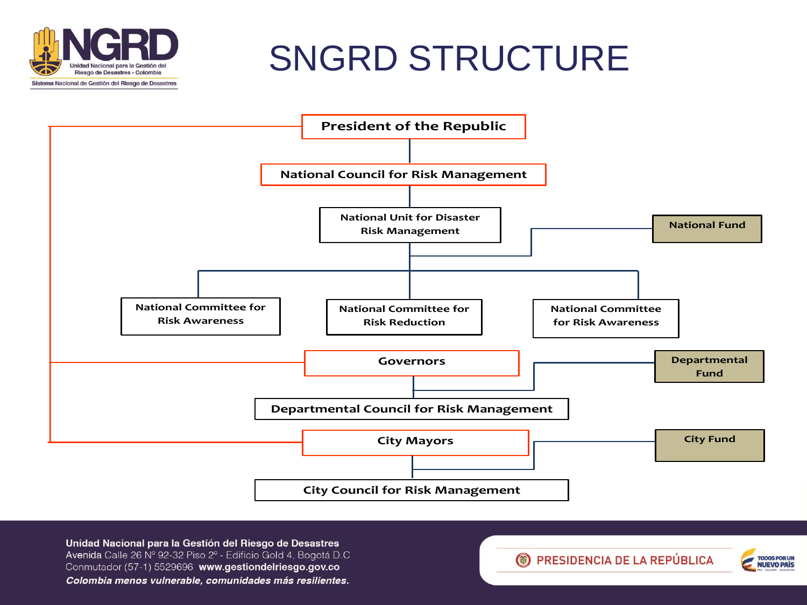

### SNGRD STRUCTURE



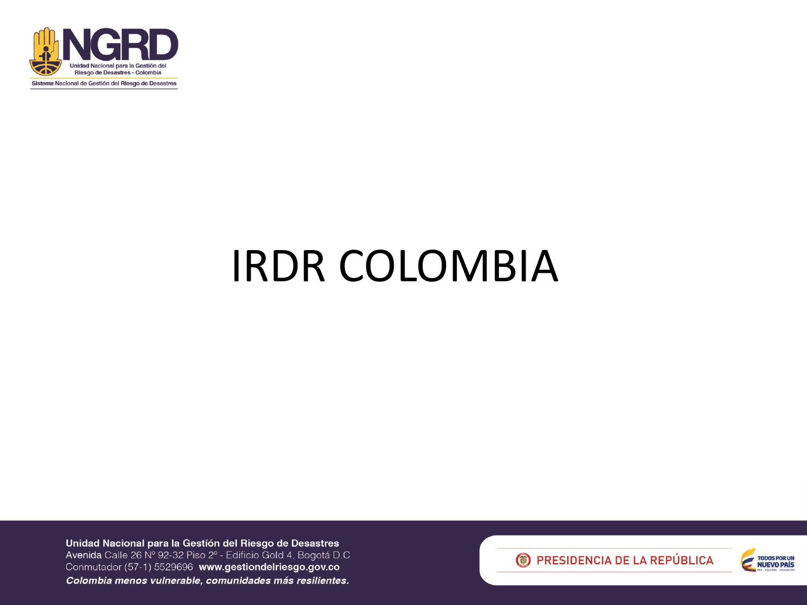

## IRDR COLOMBIA



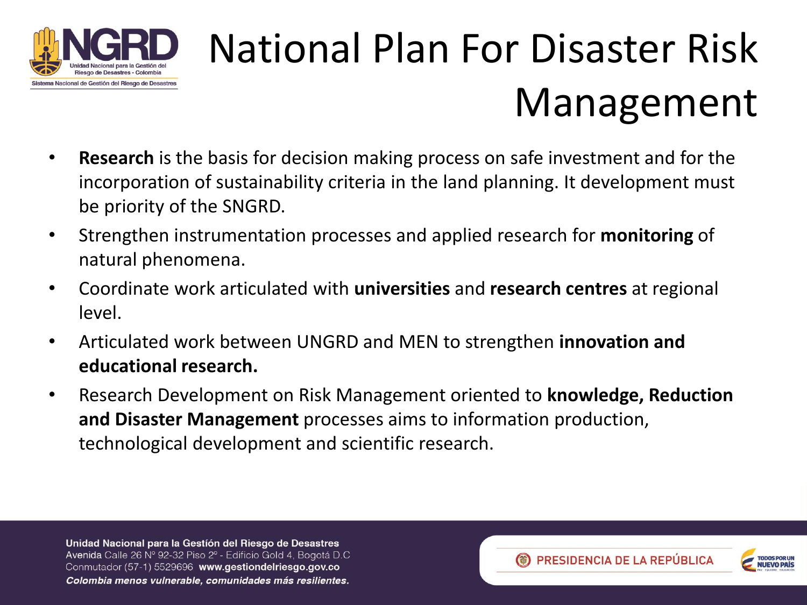

## National Plan For Disaster Risk Management

- **Research** is the basis for decision making process on safe investment and for the incorporation of sustainability criteria in the land planning. It development must be priority of the SNGRD.
- Strengthen instrumentation processes and applied research for **monitoring** of natural phenomena.
- Coordinate work articulated with **universities** and **research centres** at regional level.
- Articulated work between UNGRD and MEN to strengthen **innovation and educational research.**
- Research Development on Risk Management oriented to **knowledge, Reduction and Disaster Management** processes aims to information production, technological development and scientific research.

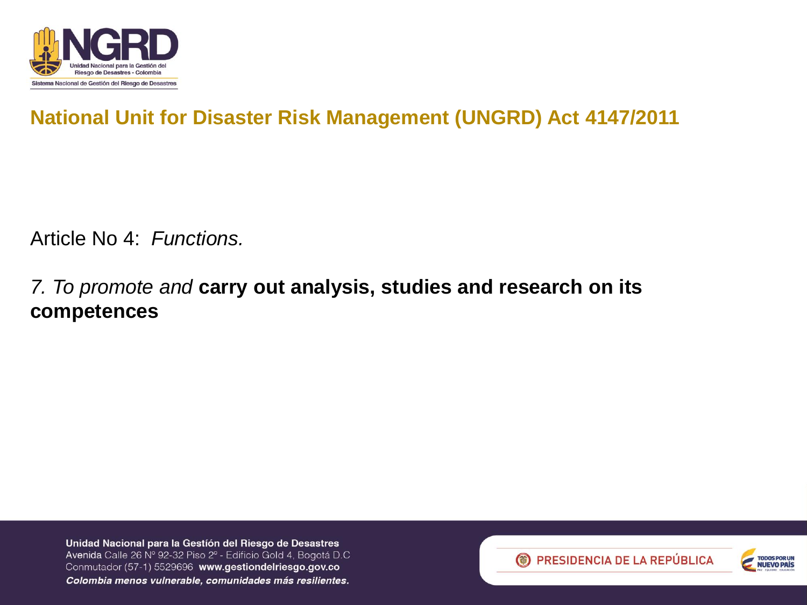

### **National Unit for Disaster Risk Management (UNGRD) Act 4147/2011**

Article No 4: *Functions.*

#### *7. To promote and* **carry out analysis, studies and research on its competences**



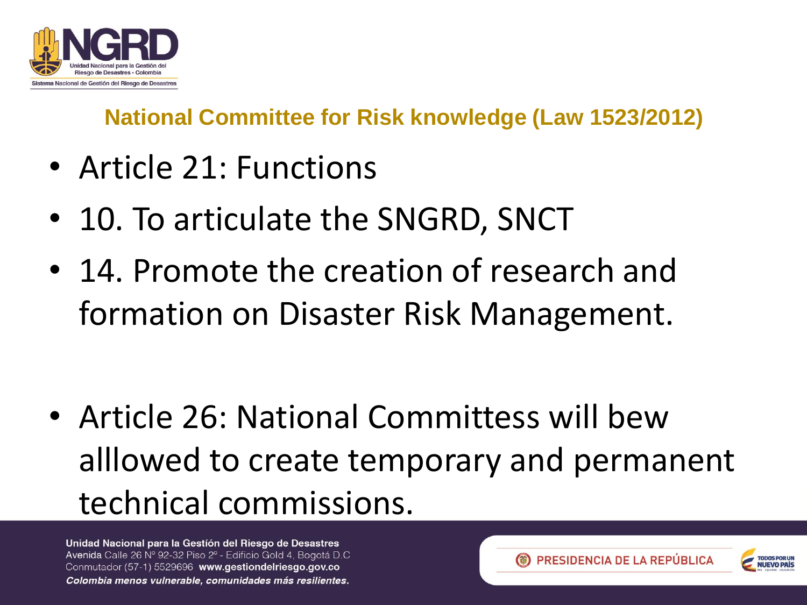

**National Committee for Risk knowledge (Law 1523/2012)**

- Article 21: Functions
- 10. To articulate the SNGRD, SNCT
- 14. Promote the creation of research and formation on Disaster Risk Management.

• Article 26: National Committess will bew alllowed to create temporary and permanent technical commissions.



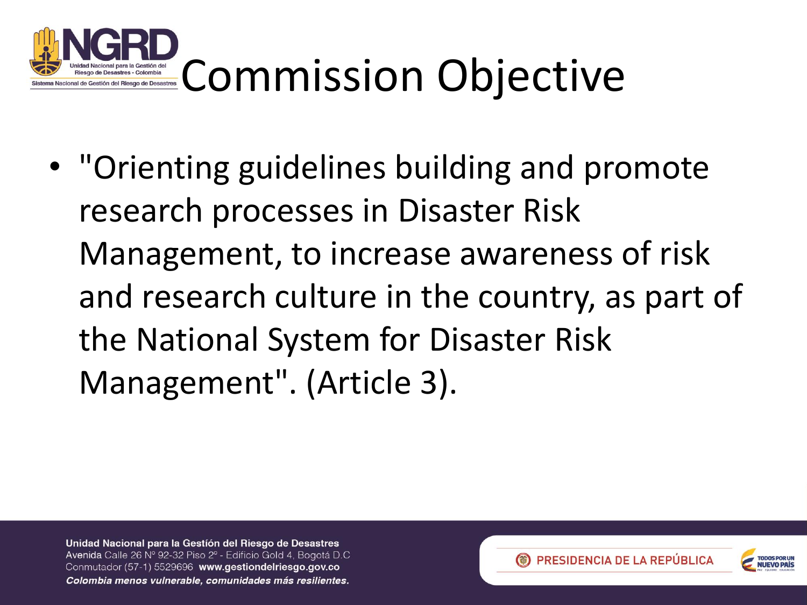

• "Orienting guidelines building and promote research processes in Disaster Risk Management, to increase awareness of risk and research culture in the country, as part of the National System for Disaster Risk Management". (Article 3).



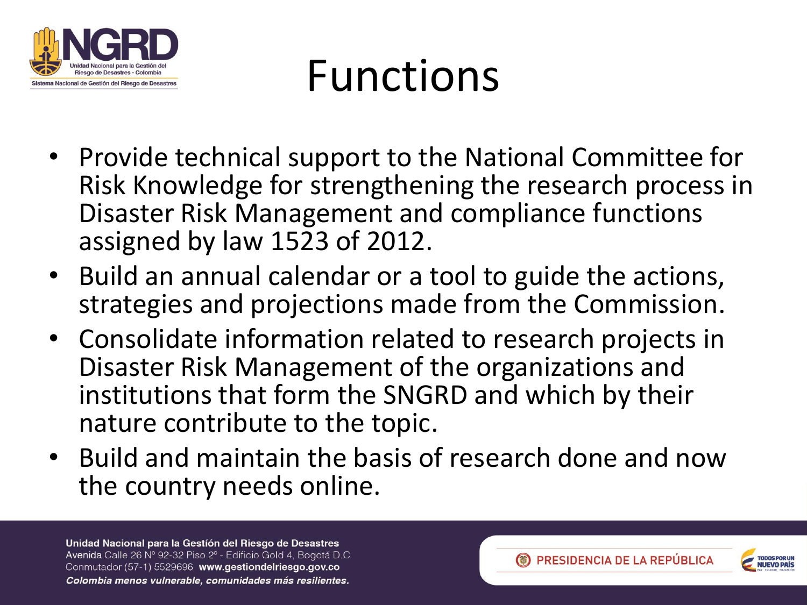

# Functions

- Provide technical support to the National Committee for Risk Knowledge for strengthening the research process in Disaster Risk Management and compliance functions assigned by law 1523 of 2012.
- Build an annual calendar or a tool to guide the actions, strategies and projections made from the Commission.
- Consolidate information related to research projects in Disaster Risk Management of the organizations and institutions that form the SNGRD and which by their nature contribute to the topic.
- Build and maintain the basis of research done and now the country needs online.

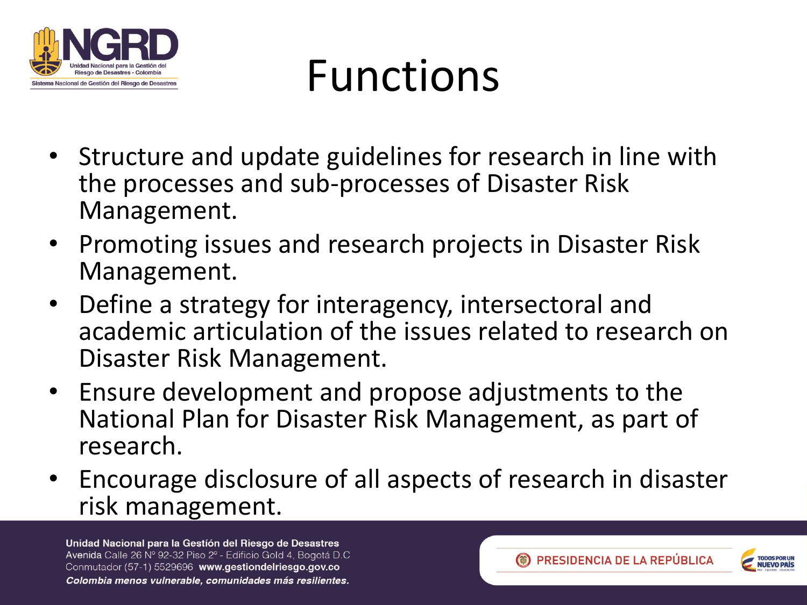

# Functions

- Structure and update guidelines for research in line with the processes and sub-processes of Disaster Risk Management.
- Promoting issues and research projects in Disaster Risk Management.
- Define a strategy for interagency, intersectoral and academic articulation of the issues related to research on Disaster Risk Management.
- Ensure development and propose adjustments to the National Plan for Disaster Risk Management, as part of research.
- Encourage disclosure of all aspects of research in disaster risk management.



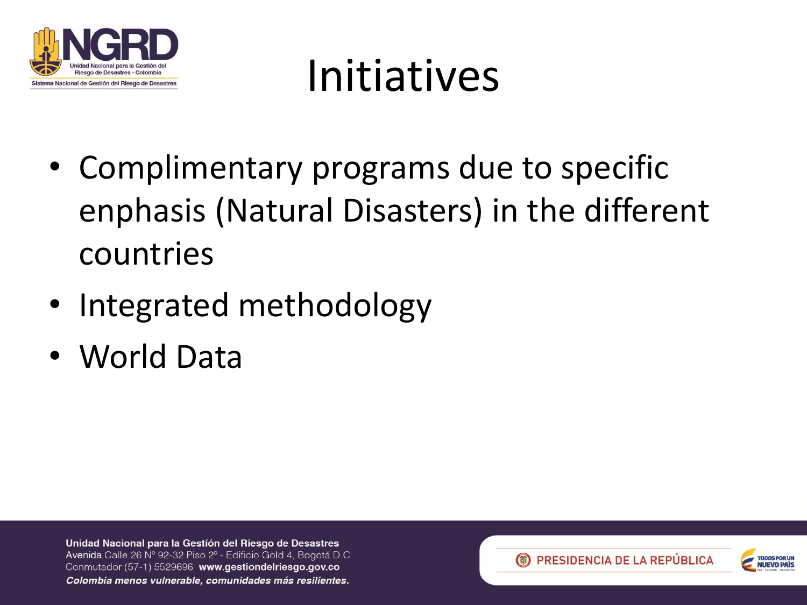

## Initiatives

- Complimentary programs due to specific enphasis (Natural Disasters) in the different countries
- Integrated methodology
- World Data